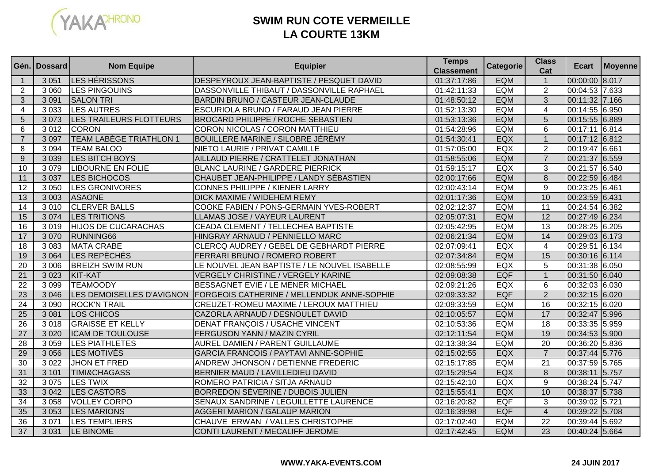

# **SWIM RUN COTE VERMEILLELA COURTE 13KM**

|                 | Gén. I Dossard | <b>Nom Equipe</b>              | <b>Equipier</b>                                    | <b>Temps</b><br><b>Classement</b> | <b>Categorie</b> | <b>Class</b><br>Cat | Ecart          | Moyenne |
|-----------------|----------------|--------------------------------|----------------------------------------------------|-----------------------------------|------------------|---------------------|----------------|---------|
| $\mathbf{1}$    | 3 0 5 1        | LES HÉRISSONS                  | DESPEYROUX JEAN-BAPTISTE / PESQUET DAVID           | 01:37:17:86                       | <b>EQM</b>       | $\mathbf{1}$        | 00:00:00 8.017 |         |
| $\overline{2}$  | 3 0 6 0        | <b>LES PINGOUINS</b>           | DASSONVILLE THIBAUT / DASSONVILLE RAPHAEL          | 01:42:11:33                       | <b>EQM</b>       | $\overline{2}$      | 00:04:53 7.633 |         |
| 3               | 3 0 9 1        | <b>SALON TRI</b>               | BARDIN BRUNO / CASTEUR JEAN-CLAUDE                 | 01:48:50:12                       | <b>EQM</b>       | 3                   | 00:11:32 7.166 |         |
| 4               | 3 0 3 3        | LES AUTRES                     | ESCURIOLA BRUNO / FARAUD JEAN PIERRE               | 01:52:13:30                       | <b>EQM</b>       | 4                   | 00:14:55 6.950 |         |
| 5               | 3073           | LES TRAILEURS FLOTTEURS        | <b>BROCARD PHILIPPE / ROCHE SEBASTIEN</b>          | 01:53:13:36                       | <b>EQM</b>       | 5                   | 00:15:55 6.889 |         |
| 6               | 3012           | <b>CORON</b>                   | CORON NICOLAS / CORON MATTHIEU                     | 01:54:28:96                       | <b>EQM</b>       | 6                   | 00:17:11 6.814 |         |
| $\overline{7}$  | 3 0 9 7        | <b>TEAM LABÈGE TRIATHLON 1</b> | BOUILLERE MARINE / SILOBRE JÉRÉMY                  | 01:54:30:41                       | <b>EQX</b>       | $\mathbf{1}$        | 00:17:12 6.812 |         |
| 8               | 3 0 9 4        | <b>TEAM BALOO</b>              | NIETO LAURIE / PRIVAT CAMILLE                      | 01:57:05:00                       | <b>EQX</b>       | $\overline{2}$      | 00:19:47 6.661 |         |
| 9               | 3 0 3 9        | <b>LES BITCH BOYS</b>          | AILLAUD PIERRE / CRATTELET JONATHAN                | 01:58:55:06                       | <b>EQM</b>       | $\overline{7}$      | 00:21:37 6.559 |         |
| 10              | 3079           | <b>LIBOURNE EN FOLIE</b>       | <b>BLANC LAURINE / GARDERE PIERRICK</b>            | 01:59:15:17                       | EQX              | 3                   | 00:21:57 6.540 |         |
| 11              | 3 0 3 7        | LES BICHOCOS                   | CHAUBET JEAN-PHILIPPE / LANDY SÉBASTIEN            | 02:00:17:66                       | <b>EQM</b>       | 8                   | 00:22:59 6.484 |         |
| 12              | 3 0 5 0        | <b>LES GRONIVORES</b>          | CONNES PHILIPPE / KIENER LARRY                     | 02:00:43:14                       | EQM              | 9                   | 00:23:25 6.461 |         |
| 13              | 3 0 0 3        | <b>ASAONE</b>                  | <b>DICK MAXIME / WIDEHEM REMY</b>                  | 02:01:17:36                       | <b>EQM</b>       | 10                  | 00:23:59 6.431 |         |
| 14              | 3010           | <b>CLERVER BALLS</b>           | COOKE FABIEN / PONS-GERMAIN YVES-ROBERT            | 02:02:12:37                       | <b>EQM</b>       | 11                  | 00:24:54 6.382 |         |
| 15              | 3 0 7 4        | <b>LES TRITIONS</b>            | LLAMAS JOSE / VAYEUR LAURENT                       | 02:05:07:31                       | <b>EQM</b>       | 12                  | 00:27:49 6.234 |         |
| $\overline{16}$ | 3019           | <b>HIJOS DE CUCARACHAS</b>     | CEADA CLEMENT / TELLECHEA BAPTISTE                 | 02:05:42:95                       | <b>EQM</b>       | $\overline{13}$     | 00:28:25 6.205 |         |
| 17              | 3 0 7 0        | RUNNING66                      | HINGRAY ARNAUD / PENNIELLO MARC                    | 02:06:21:34                       | <b>EQM</b>       | 14                  | 00:29:03 6.173 |         |
| 18              | 3 0 8 3        | <b>MATA CRABE</b>              | CLERCQ AUDREY / GEBEL DE GEBHARDT PIERRE           | 02:07:09:41                       | EQX              | $\overline{4}$      | 00:29:51 6.134 |         |
| 19              | 3 0 6 4        | LES REPÈCHÉS                   | FERRARI BRUNO / ROMERO ROBERT                      | 02:07:34:84                       | <b>EQM</b>       | 15                  | 00:30:16 6.114 |         |
| 20              | 3 0 0 6        | <b>BREIZH SWIM RUN</b>         | LE NOUVEL JEAN BAPTISTE / LE NOUVEL ISABELLE       | 02:08:55:99                       | EQX              | 5                   | 00:31:38 6.050 |         |
| 21              | 3 0 2 3        | KIT-KAT                        | <b>VERGELY CHRISTINE / VERGELY KARINE</b>          | 02:09:08:38                       | <b>EQF</b>       | $\mathbf{1}$        | 00:31:50 6.040 |         |
| $\overline{22}$ | 3 0 9 9        | <b>TEAMOODY</b>                | BESSAGNET EVIE / LE MENER MICHAEL                  | 02:09:21:26                       | EQX              | 6                   | 00:32:03 6.030 |         |
| $\overline{23}$ | 3 0 4 6        | LES DEMOISELLES D'AVIGNON      | <b>FORGEOIS CATHERINE / MELLENDIJK ANNE-SOPHIE</b> | 02:09:33:32                       | <b>EQF</b>       | $\overline{2}$      | 00:32:15 6.020 |         |
| $\overline{24}$ | 3 0 9 0        | <b>ROCK'N TRAIL</b>            | CREUZET-ROMEU MAXIME / LEROUX MATTHIEU             | 02:09:33:59                       | <b>EQM</b>       | 16                  | 00:32:15 6.020 |         |
| 25              | 3 0 8 1        | LOS CHICOS                     | CAZORLA ARNAUD / DESNOULET DAVID                   | 02:10:05:57                       | <b>EQM</b>       | 17                  | 00:32:47 5.996 |         |
| $\overline{26}$ | 3018           | <b>GRAISSE ET KELLY</b>        | <b>DENAT FRANÇOIS / USACHE VINCENT</b>             | 02:10:53:36                       | <b>EQM</b>       | 18                  | 00:33:35 5.959 |         |
| 27              | 3 0 2 0        | <b>ICAM DE TOULOUSE</b>        | FERGUSON YANN / MAZIN CYRIL                        | 02:12:11:54                       | <b>EQM</b>       | 19                  | 00:34:53 5.900 |         |
| $\overline{28}$ | 3 0 5 9        | <b>LES PIATHLETES</b>          | AUREL DAMIEN / PARENT GUILLAUME                    | 02:13:38:34                       | <b>EQM</b>       | $\overline{20}$     | 00:36:20 5.836 |         |
| 29              | 3 0 5 6        | <b>LES MOTIVÉS</b>             | GARCIA FRANCOIS / PAYTAVI ANNE-SOPHIE              | 02:15:02:55                       | EQX              | $\overline{7}$      | 00:37:44 5.776 |         |
| $\overline{30}$ | 3 0 2 2        | JHON ET FRED                   | ANDREW JHONSON / DETIENNE FREDERIC                 | 02:15:17:85                       | <b>EQM</b>       | 21                  | 00:37:59 5.765 |         |
| $\overline{31}$ | 3 1 0 1        | <b>TIMI&amp;CHAGASS</b>        | BERNIER MAUD / LAVILLEDIEU DAVID                   | 02:15:29:54                       | <b>EQX</b>       | 8                   | 00:38:11 5.757 |         |
| 32              | 3 0 7 5        | <b>LES TWIX</b>                | ROMERO PATRICIA / SITJA ARNAUD                     | 02:15:42:10                       | EQX              | 9                   | 00:38:24 5.747 |         |
| 33              | 3 0 4 2        | <b>LES CASTORS</b>             | BORREDON SÉVERINE / DUBOIS JULIEN                  | 02:15:55:41                       | EQX              | 10                  | 00:38:37 5.738 |         |
| 34              | 3 0 5 8        | <b>VOLLEY CORPO</b>            | SENAUX SANDRINE / LEGUILLETTE LAURENCE             | 02:16:20:82                       | <b>EQF</b>       | 3                   | 00:39:02 5.721 |         |
| 35              | 3 0 5 3        | <b>LES MARIONS</b>             | <b>AGGERI MARION / GALAUP MARION</b>               | 02:16:39:98                       | EQF              | $\overline{4}$      | 00:39:22 5.708 |         |
| 36              | 3 0 7 1        | <b>LES TEMPLIERS</b>           | CHAUVE ERWAN / VALLES CHRISTOPHE                   | 02:17:02:40                       | EQM              | 22                  | 00:39:44 5.692 |         |
| 37              | 3 0 3 1        | <b>LE BINOME</b>               | CONTI LAURENT / MECALIFF JEROME                    | 02:17:42:45                       | <b>EQM</b>       | 23                  | 00:40:24 5.664 |         |

#### **WWW.YAKA-EVENTS.COM**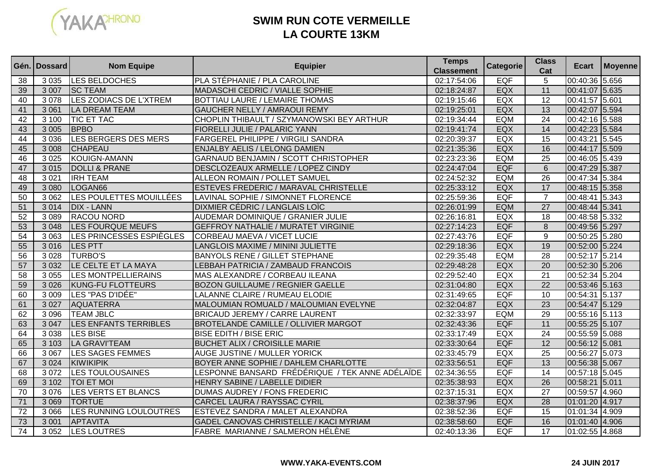

# **SWIM RUN COTE VERMEILLELA COURTE 13KM**

|                 | Gén. Dossard | <b>Nom Equipe</b>            | <b>Equipier</b>                                 | <b>Temps</b><br><b>Classement</b> | Categorie  | <b>Class</b><br>Cat | Ecart          | Moyenne |
|-----------------|--------------|------------------------------|-------------------------------------------------|-----------------------------------|------------|---------------------|----------------|---------|
| 38              | 3 0 3 5      | LES BELDOCHES                | PLA STÉPHANIE / PLA CAROLINE                    | 02:17:54:06                       | <b>EQF</b> | 5                   | 00:40:36 5.656 |         |
| 39              | 3 0 0 7      | <b>SC TEAM</b>               | <b>MADASCHI CEDRIC / VIALLE SOPHIE</b>          | 02:18:24:87                       | EQX        | 11                  | 00:41:07 5.635 |         |
| 40              | 3078         | LES ZODIACS DE L'XTREM       | <b>BOTTIAU LAURE / LEMAIRE THOMAS</b>           | 02:19:15:46                       | EQX        | 12                  | 00:41:57 5.601 |         |
| 41              | 3 0 6 1      | LA DREAM TEAM                | GAUCHER NELLY / AMRAOUI REMY                    | 02:19:25:01                       | EQX        | 13                  | 00:42:07 5.594 |         |
| 42              | 3 100        | <b>TIC ET TAC</b>            | CHOPLIN THIBAULT / SZYMANOWSKI BEY ARTHUR       | 02:19:34:44                       | EQM        | 24                  | 00:42:16 5.588 |         |
| 43              | 3 0 0 5      | <b>BPBO</b>                  | FIORELLI JULIE / PALARIC YANN                   | 02:19:41:74                       | EQX        | 14                  | 00:42:23 5.584 |         |
| 44              | 3 0 3 6      | LES BERGERS DES MERS         | FARGEREL PHILIPPE / VIRGILI SANDRA              | 02:20:39:37                       | EQX        | 15                  | 00:43:21 5.545 |         |
| 45              | 3 0 0 8      | <b>CHAPEAU</b>               | <b>ENJALBY AELIS / LELONG DAMIEN</b>            | 02:21:35:36                       | EQX        | 16                  | 00:44:17 5.509 |         |
| 46              | 3 0 2 5      | KOUIGN-AMANN                 | GARNAUD BENJAMIN / SCOTT CHRISTOPHER            | 02:23:23:36                       | <b>EQM</b> | 25                  | 00:46:05 5.439 |         |
| 47              | 3015         | <b>DOLLI &amp; PRANE</b>     | DESCLOZEAUX ARMELLE / LOPEZ CINDY               | 02:24:47:04                       | <b>EQF</b> | $6\phantom{1}6$     | 00:47:29 5.387 |         |
| 48              | 3 0 21       | <b>IRH TEAM</b>              | ALLEON ROMAIN / POLLET SAMUEL                   | 02:24:52:32                       | EQM        | 26                  | 00:47:34 5.384 |         |
| 49              | 3 0 8 0      | LOGAN <sub>66</sub>          | <b>ESTEVES FREDERIC / MARAVAL CHRISTELLE</b>    | 02:25:33:12                       | EQX        | 17                  | 00:48:15 5.358 |         |
| 50              | 3 0 6 2      | LES POULETTES MOUILLÉES      | LAVINAL SOPHIE / SIMONNET FLORENCE              | 02:25:59:36                       | EQF        | $\overline{7}$      | 00:48:41 5.343 |         |
| 51              | 3014         | <b>DIX - LANN</b>            | <b>DIXMIER CÉDRIC / LANGLAIS LOÏC</b>           | 02:26:01:99                       | <b>EQM</b> | $\overline{27}$     | 00:48:44 5.341 |         |
| 52              | 3 0 8 9      | <b>RACOU NORD</b>            | AUDEMAR DOMINIQUE / GRANIER JULIE               | 02:26:16:81                       | <b>EQX</b> | 18                  | 00:48:58 5.332 |         |
| 53              | 3 0 4 8      | <b>LES FOURQUE MEUFS</b>     | <b>GEFFROY NATHALIE / MURATET VIRGINIE</b>      | 02:27:14:23                       | <b>EQF</b> | 8                   | 00:49:56 5.297 |         |
| 54              | 3 0 6 3      | LES PRINCESSES ESPIÈGLES     | CORBEAU MAEVA / VICET LUCIE                     | 02:27:43:76                       | <b>EQF</b> | 9                   | 00:50:25 5.280 |         |
| 55              | 3016         | <b>LES PTT</b>               | LANGLOIS MAXIME / MININI JULIETTE               | 02:29:18:36                       | EQX        | 19                  | 00:52:00 5.224 |         |
| 56              | 3 0 28       | <b>TURBO'S</b>               | <b>BANYOLS RENE / GILLET STEPHANE</b>           | 02:29:35:48                       | <b>EQM</b> | $\overline{28}$     | 00:52:17 5.214 |         |
| $\overline{57}$ | 3 0 3 2      | LE CELTE ET LA MAYA          | LEBBAH PATRICIA / ZAMBAUD FRANCOIS              | 02:29:48:28                       | EQX        | $\overline{20}$     | 00:52:30 5.206 |         |
| 58              | 3 0 5 5      | <b>LES MONTPELLIERAINS</b>   | MAS ALEXANDRE / CORBEAU ILEANA                  | 02:29:52:40                       | EQX        | 21                  | 00:52:34 5.204 |         |
| 59              | 3 0 2 6      | <b>KUNG-FU FLOTTEURS</b>     | <b>BOZON GUILLAUME / REGNIER GAELLE</b>         | 02:31:04:80                       | EQX        | $\overline{22}$     | 00:53:46 5.163 |         |
| 60              | 3 0 0 9      | LES "PAS D'IDÉE"             | LALANNE CLAIRE / RUMEAU ELODIE                  | 02:31:49:65                       | <b>EQF</b> | 10                  | 00:54:31 5.137 |         |
| 61              | 3 0 27       | AQUATERRA                    | MALOUMIAN ROMUALD / MALOUMIAN EVELYNE           | 02:32:04:87                       | EQX        | $\overline{23}$     | 00:54:47 5.129 |         |
| 62              | 3 0 9 6      | <b>TEAM JBLC</b>             | <b>BRICAUD JEREMY / CARRE LAURENT</b>           | 02:32:33:97                       | <b>EQM</b> | 29                  | 00:55:16 5.113 |         |
| 63              | 3 0 4 7      | <b>LES ENFANTS TERRIBLES</b> | <b>BROTELANDE CAMILLE / OLLIVIER MARGOT</b>     | 02:32:43:36                       | <b>EQF</b> | 11                  | 00:55:25 5.107 |         |
| 64              | 3 0 38       | <b>LES BISE</b>              | <b>BISE EDITH / BISE ERIC</b>                   | 02:33:17:49                       | EQX        | $\overline{24}$     | 00:55:59 5.088 |         |
| 65              | 3 1 0 3      | <b>LA GRAVI'TEAM</b>         | <b>BUCHET ALIX / CROISILLE MARIE</b>            | 02:33:30:64                       | <b>EQF</b> | $\overline{12}$     | 00:56:12 5.081 |         |
| 66              | 3 0 6 7      | <b>LES SAGES FEMMES</b>      | AUGE JUSTINE / MULLER YORICK                    | 02:33:45:79                       | <b>EQX</b> | $\overline{25}$     | 00:56:27 5.073 |         |
| 67              | 3 0 2 4      | KIWIKIPIK                    | BOYER ANNE SOPHIE / DAHLEM CHARLOTTE            | 02:33:56:51                       | <b>EQF</b> | $\overline{13}$     | 00:56:38 5.067 |         |
| 68              | 3 0 7 2      | <b>LES TOULOUSAINES</b>      | LESPONNE BANSARD FRÉDÉRIQUE / TEK ANNE ADÉLAÏDE | 02:34:36:55                       | <b>EQF</b> | 14                  | 00:57:18 5.045 |         |
| 69              | 3 1 0 2      | <b>TOI ET MOI</b>            | HENRY SABINE / LABELLE DIDIER                   | 02:35:38:93                       | EQX        | $\overline{26}$     | 00:58:21 5.011 |         |
| 70              | 3076         | LES VERTS ET BLANCS          | DUMAS AUDREY / FONS FREDERIC                    | 02:37:15:31                       | EQX        | 27                  | 00:59:57 4.960 |         |
| 71              | 3 0 6 9      | <b>TORTUE</b>                | CARCEL LAURA / RAYSSAC CYRIL                    | 02:38:37:96                       | EQX        | 28                  | 01:01:20 4.917 |         |
| $\overline{72}$ | 3 0 6 6      | LES RUNNING LOULOUTRES       | ESTEVEZ SANDRA / MALET ALEXANDRA                | 02:38:52:36                       | EQF        | 15                  | 01:01:34 4.909 |         |
| 73              | 3 0 0 1      | APTAVITA                     | GADEL CANOVAS CHRISTELLE / KACI MYRIAM          | 02:38:58:60                       | <b>EQF</b> | 16                  | 01:01:40 4.906 |         |
| $\overline{74}$ | 3 0 5 2      | LES LOUTRES                  | FABRE MARIANNE / SALMERON HÉLÈNE                | 02:40:13:36                       | <b>EQF</b> | 17                  | 01:02:55 4.868 |         |

#### **WWW.YAKA-EVENTS.COM**